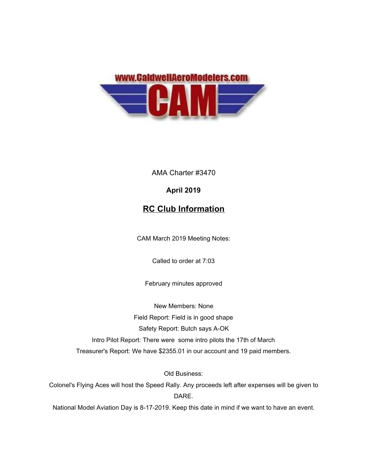

AMA Charter #3470

## **April 2019**

## **RC Club Information**

CAM March 2019 Meeting Notes:

Called to order at 7:03

February minutes approved

New Members: None Field Report: Field is in good shape Safety Report: Butch says A-OK Intro Pilot Report: There were some intro pilots the 17th of March Treasurer's Report: We have \$2355.01 in our account and 19 paid members.

Old Business:

Colonel's Flying Aces will host the Speed Rally. Any proceeds left after expenses will be given to DARE.

National Model Aviation Day is 8-17-2019. Keep this date in mind if we want to have an event.